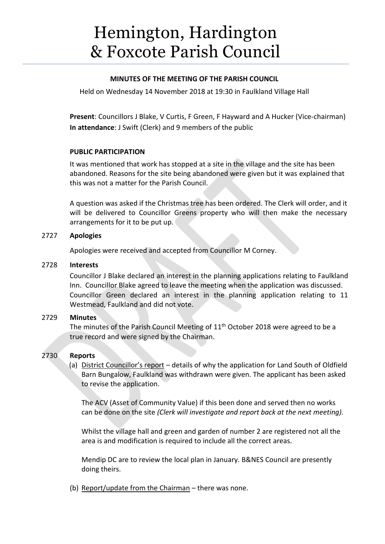# Hemington, Hardington & Foxcote Parish Council

## **MINUTES OF THE MEETING OF THE PARISH COUNCIL**

Held on Wednesday 14 November 2018 at 19:30 in Faulkland Village Hall

**Present**: Councillors J Blake, V Curtis, F Green, F Hayward and A Hucker (Vice-chairman) **In attendance**: J Swift (Clerk) and 9 members of the public

# **PUBLIC PARTICIPATION**

It was mentioned that work has stopped at a site in the village and the site has been abandoned. Reasons for the site being abandoned were given but it was explained that this was not a matter for the Parish Council.

A question was asked if the Christmas tree has been ordered. The Clerk will order, and it will be delivered to Councillor Greens property who will then make the necessary arrangements for it to be put up.

# 2727 **Apologies**

Apologies were received and accepted from Councillor M Corney.

## 2728 **Interests**

Councillor J Blake declared an interest in the planning applications relating to Faulkland Inn. Councillor Blake agreed to leave the meeting when the application was discussed. Councillor Green declared an interest in the planning application relating to 11 Westmead, Faulkland and did not vote.

# 2729 **Minutes**

The minutes of the Parish Council Meeting of  $11<sup>th</sup>$  October 2018 were agreed to be a true record and were signed by the Chairman.

# 2730 **Reports**

(a) District Councillor's report – details of why the application for Land South of Oldfield Barn Bungalow, Faulkland was withdrawn were given. The applicant has been asked to revise the application.

The ACV (Asset of Community Value) if this been done and served then no works can be done on the site *(Clerk will investigate and report back at the next meeting).*

Whilst the village hall and green and garden of number 2 are registered not all the area is and modification is required to include all the correct areas.

Mendip DC are to review the local plan in January. B&NES Council are presently doing theirs.

(b) Report/update from the Chairman – there was none.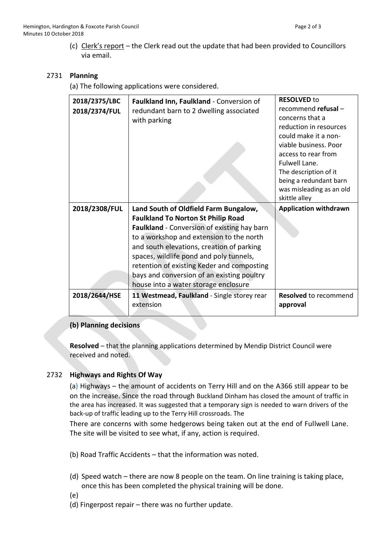(c) Clerk's report – the Clerk read out the update that had been provided to Councillors via email.

#### 2731 **Planning**

(a) The following applications were considered.

| 2018/2375/LBC | Faulkland Inn, Faulkland - Conversion of    | <b>RESOLVED to</b>           |
|---------------|---------------------------------------------|------------------------------|
| 2018/2374/FUL | redundant barn to 2 dwelling associated     | recommend refusal -          |
|               | with parking                                | concerns that a              |
|               |                                             | reduction in resources       |
|               |                                             | could make it a non-         |
|               |                                             | viable business. Poor        |
|               |                                             | access to rear from          |
|               |                                             | Fulwell Lane.                |
|               |                                             | The description of it        |
|               |                                             | being a redundant barn       |
|               |                                             | was misleading as an old     |
|               |                                             | skittle alley                |
|               |                                             |                              |
| 2018/2308/FUL | Land South of Oldfield Farm Bungalow,       | <b>Application withdrawn</b> |
|               | <b>Faulkland To Norton St Philip Road</b>   |                              |
|               | Faulkland - Conversion of existing hay barn |                              |
|               | to a workshop and extension to the north    |                              |
|               | and south elevations, creation of parking   |                              |
|               | spaces, wildlife pond and poly tunnels,     |                              |
|               | retention of existing Keder and composting  |                              |
|               | bays and conversion of an existing poultry  |                              |
|               | house into a water storage enclosure        |                              |
| 2018/2644/HSE | 11 Westmead, Faulkland - Single storey rear | <b>Resolved</b> to recommend |
|               | extension                                   | approval                     |

## **(b) Planning decisions**

**Resolved** – that the planning applications determined by Mendip District Council were received and noted.

## 2732 **Highways and Rights Of Way**

(a) Highways – the amount of accidents on Terry Hill and on the A366 still appear to be on the increase. Since the road through Buckland Dinham has closed the amount of traffic in the area has increased. It was suggested that a temporary sign is needed to warn drivers of the back-up of traffic leading up to the Terry Hill crossroads. The

There are concerns with some hedgerows being taken out at the end of Fullwell Lane. The site will be visited to see what, if any, action is required.

- (b) Road Traffic Accidents that the information was noted.
- (d) Speed watch there are now 8 people on the team. On line training is taking place, once this has been completed the physical training will be done.
- (e)
- (d) Fingerpost repair there was no further update.